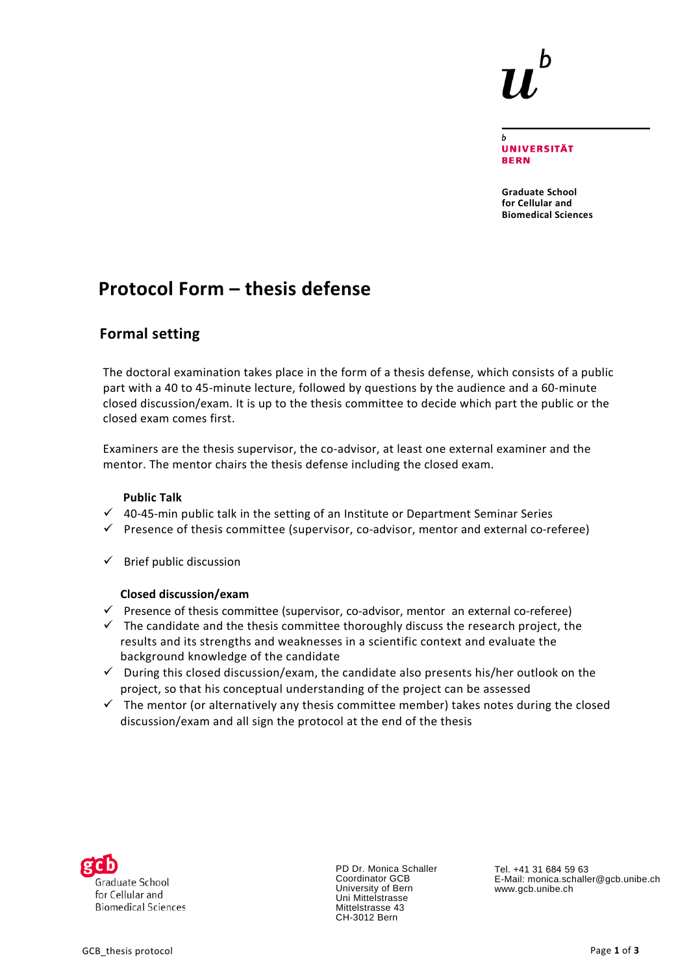

**UNIVERSITÄT BERN** 

 $\mathbf b$ 

**Graduate School for Cellular and Biomedical Sciences**

# **Protocol Form – thesis defense**

### **Formal setting**

The doctoral examination takes place in the form of a thesis defense, which consists of a public part with a 40 to 45-minute lecture, followed by questions by the audience and a 60-minute closed discussion/exam. It is up to the thesis committee to decide which part the public or the closed exam comes first.

Examiners are the thesis supervisor, the co-advisor, at least one external examiner and the mentor. The mentor chairs the thesis defense including the closed exam.

#### **Public Talk**

- $\checkmark$  40-45-min public talk in the setting of an Institute or Department Seminar Series
- $\checkmark$  Presence of thesis committee (supervisor, co-advisor, mentor and external co-referee)
- $\checkmark$  Brief public discussion

#### **Closed discussion/exam**

- $\checkmark$  Presence of thesis committee (supervisor, co-advisor, mentor an external co-referee)
- $\checkmark$  The candidate and the thesis committee thoroughly discuss the research project, the results and its strengths and weaknesses in a scientific context and evaluate the background knowledge of the candidate
- $\checkmark$  During this closed discussion/exam, the candidate also presents his/her outlook on the project, so that his conceptual understanding of the project can be assessed
- $\checkmark$  The mentor (or alternatively any thesis committee member) takes notes during the closed discussion/exam and all sign the protocol at the end of the thesis



PD Dr. Monica Schaller Coordinator GCB University of Bern Uni Mittelstrasse Mittelstrasse 43 CH-3012 Bern

Tel. +41 31 684 59 63 E-Mail: monica.schaller@gcb.unibe.ch www.gcb.unibe.ch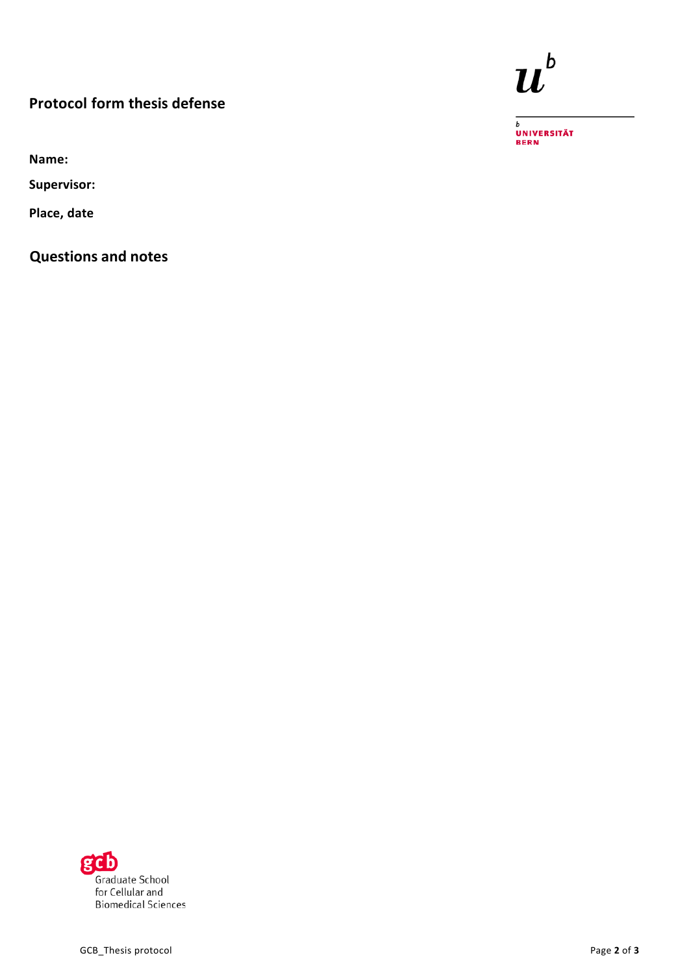## **Protocol form thesis defense**

**Name:**

**Supervisor:**

**Place, date**

**Questions and notes**



<sub>b</sub><br>Universität<br>Bern